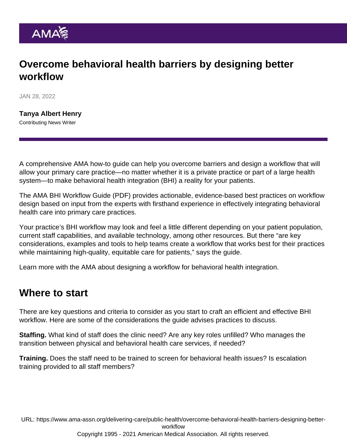## Overcome behavioral health barriers by designing better workflow

JAN 28, 2022

[Tanya Albert Henry](https://www.ama-assn.org/news-leadership-viewpoints/authors-news-leadership-viewpoints/tanya-albert-henry) Contributing News Writer

A comprehensive AMA how-to guide can help you overcome barriers and design a workflow that will allow your primary care practice—no matter whether it is a private practice or part of a large health system—to make behavioral health integration (BHI) a reality for your patients.

The [AMA BHI Workflow Guide](https://www.ama-assn.org/system/files/bhi-workflow-how-to-guide.pdf) (PDF) provides actionable, evidence-based best practices on workflow design based on input from the experts with firsthand experience in effectively integrating behavioral health care into primary care practices.

Your practice's BHI workflow may look and feel a little different depending on your patient population, current staff capabilities, and available technology, among other resources. But there "are key considerations, examples and tools to help teams create a workflow that works best for their practices while maintaining high-quality, equitable care for patients," says the guide.

Learn more with the AMA about [designing a workflow for behavioral health integration.](https://www.ama-assn.org/delivering-care/public-health/designing-workflow-behavioral-health-integration)

## Where to start

There are key questions and criteria to consider as you start to craft an efficient and effective BHI workflow. Here are some of the considerations the guide advises practices to discuss.

Staffing. What kind of staff does the clinic need? Are any key roles unfilled? Who manages the transition between physical and behavioral health care services, if needed?

Training. Does the staff need to be trained to screen for behavioral health issues? Is escalation training provided to all staff members?

URL: [https://www.ama-assn.org/delivering-care/public-health/overcome-behavioral-health-barriers-designing-better](https://www.ama-assn.org/delivering-care/public-health/overcome-behavioral-health-barriers-designing-better-workflow)[workflow](https://www.ama-assn.org/delivering-care/public-health/overcome-behavioral-health-barriers-designing-better-workflow)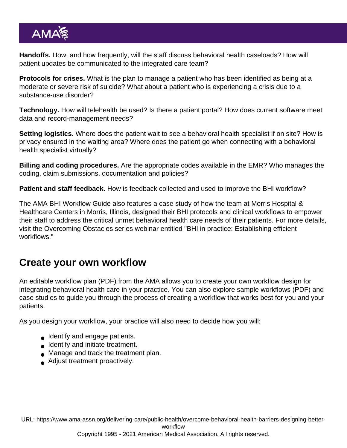Handoffs. How, and how frequently, will the staff discuss behavioral health caseloads? How will patient updates be communicated to the integrated care team?

Protocols for crises. What is the plan to manage a patient who has been identified as being at a moderate or severe risk of suicide? What about a patient who is experiencing a crisis due to a substance-use disorder?

Technology. How will telehealth be used? Is there a patient portal? How does current software meet data and record-management needs?

Setting logistics. Where does the patient wait to see a behavioral health specialist if on site? How is privacy ensured in the waiting area? Where does the patient go when connecting with a behavioral health specialist virtually?

Billing and coding procedures. Are the appropriate codes available in the EMR? Who manages the coding, claim submissions, documentation and policies?

Patient and staff feedback. How is feedback collected and used to improve the BHI workflow?

The AMA BHI Workflow Guide also features a case study of how the team at Morris Hospital & Healthcare Centers in Morris, Illinois, designed their BHI protocols and clinical workflows to empower their staff to address the critical unmet behavioral health care needs of their patients. For more details, visit the Overcoming Obstacles series webinar entitled "[BHI in practice: Establishing efficient](https://www.ama-assn.org/delivering-care/public-health/bhi-practice-establishing-efficient-workflows) [workflows.](https://www.ama-assn.org/delivering-care/public-health/bhi-practice-establishing-efficient-workflows)"

## Create your own workflow

An editable [workflow plan](https://www.ama-assn.org/system/files/bhi-workflow-plan.pdf) (PDF) from the AMA allows you to create your own workflow design for integrating behavioral health care in your practice. You can also explore [sample workflows](https://www.ama-assn.org/system/files/bhi-workflow-example.pdf) (PDF) and case studies to guide you through the process of creating a workflow that works best for you and your patients.

As you design your workflow, your practice will also need to decide how you will:

- **Identify and engage patients.**
- **Identify and initiate treatment.**
- **Manage and track the treatment plan.**
- Adjust treatment proactively.

URL: [https://www.ama-assn.org/delivering-care/public-health/overcome-behavioral-health-barriers-designing-better](https://www.ama-assn.org/delivering-care/public-health/overcome-behavioral-health-barriers-designing-better-workflow)[workflow](https://www.ama-assn.org/delivering-care/public-health/overcome-behavioral-health-barriers-designing-better-workflow)